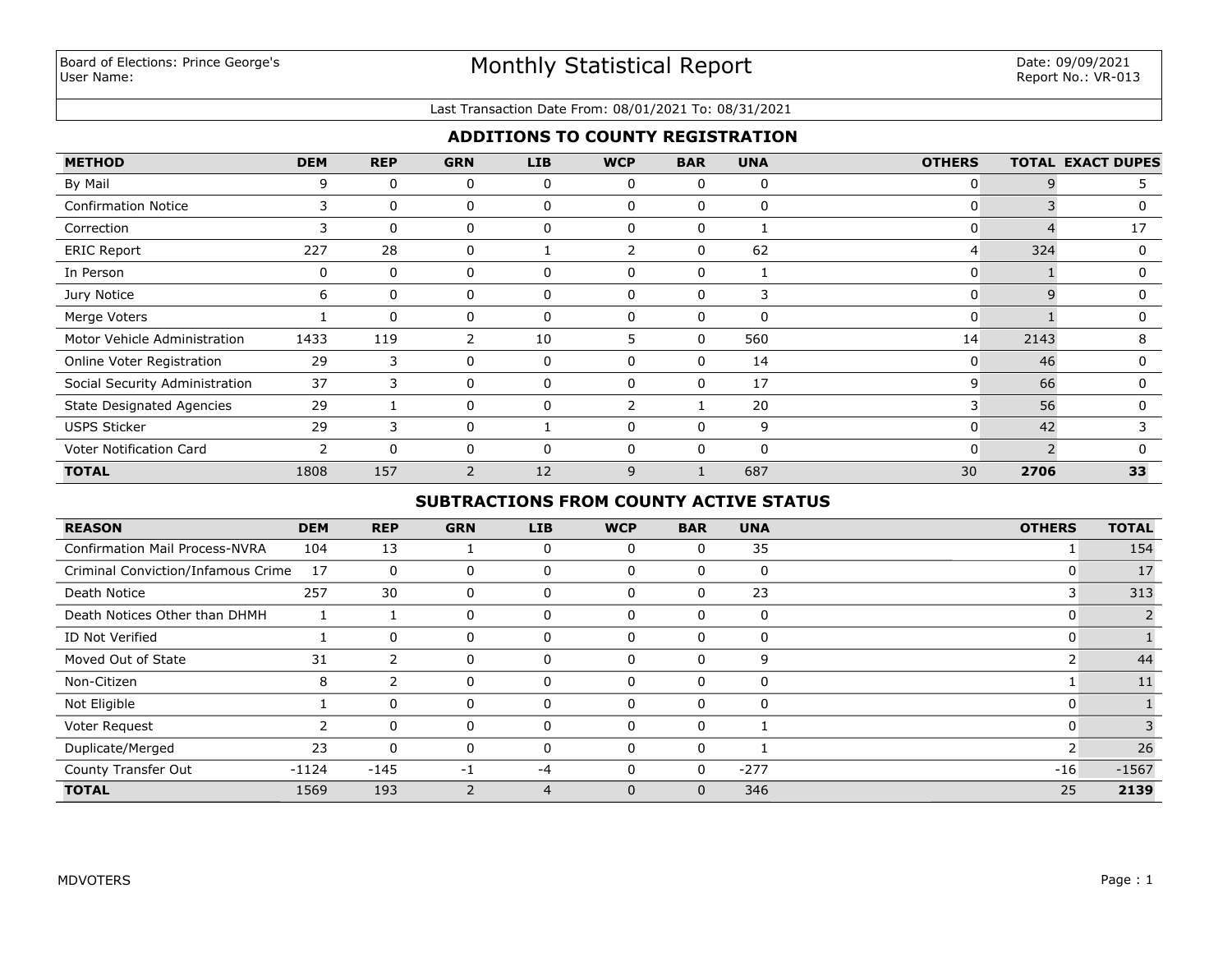### Last Transaction Date From: 08/01/2021 To: 08/31/2021

# **ADDITIONS TO COUNTY REGISTRATION**

| <b>METHOD</b>                    | <b>DEM</b>               | <b>REP</b> | <b>GRN</b>     | <b>LIB</b> | <b>WCP</b> | <b>BAR</b>   | <b>UNA</b>  | <b>OTHERS</b> |                | <b>TOTAL EXACT DUPES</b> |
|----------------------------------|--------------------------|------------|----------------|------------|------------|--------------|-------------|---------------|----------------|--------------------------|
| By Mail                          | 9                        | $\Omega$   | 0              | 0          | 0          | 0            | $\mathbf 0$ | 0             |                |                          |
| <b>Confirmation Notice</b>       | 3                        | $\Omega$   | 0              | 0          | 0          | 0            | 0           | $\mathbf{0}$  |                | 0                        |
| Correction                       | 3                        | $\Omega$   | 0              | 0          | 0          | 0            | 1           | 0             |                | 17                       |
| <b>ERIC Report</b>               | 227                      | 28         | 0              |            |            | 0            | 62          | 4             | 324            | 0                        |
| In Person                        | 0                        | $\Omega$   | 0              | 0          | O          | 0            |             | 0             |                | O                        |
| Jury Notice                      | 6                        | $\Omega$   | 0              | 0          | 0          | 0            | 3           | 0             | Q              | $\Omega$                 |
| Merge Voters                     |                          | $\Omega$   | 0              | 0          |            | 0            | 0           | 0             |                | O                        |
| Motor Vehicle Administration     | 1433                     | 119        | $\overline{2}$ | 10         | 5          | 0            | 560         | 14            | 2143           | 8                        |
| Online Voter Registration        | 29                       | 3          | 0              | 0          |            | 0            | 14          | 0             | 46             | O                        |
| Social Security Administration   | 37                       | 3          | 0              | $\Omega$   | 0          | 0            | 17          | 9             | 66             | 0                        |
| <b>State Designated Agencies</b> | 29                       |            | 0              | $\Omega$   |            |              | 20          | 3             | 56             | n                        |
| <b>USPS Sticker</b>              | 29                       | 3          | 0              |            | $\Omega$   | $\mathbf{0}$ | 9           | 0             | 42             |                          |
| Voter Notification Card          | $\overline{\phantom{0}}$ | $\Omega$   | 0              | $\Omega$   |            | $\mathbf{0}$ | 0           | 0             | $\overline{2}$ |                          |
| <b>TOTAL</b>                     | 1808                     | 157        | $\overline{2}$ | 12         | 9          |              | 687         | 30            | 2706           | 33                       |

# **SUBTRACTIONS FROM COUNTY ACTIVE STATUS**

| <b>REASON</b>                         | <b>DEM</b> | <b>REP</b>   | <b>GRN</b> | <b>LIB</b> | <b>WCP</b>   | <b>BAR</b>   | <b>UNA</b> | <b>OTHERS</b> | <b>TOTAL</b> |
|---------------------------------------|------------|--------------|------------|------------|--------------|--------------|------------|---------------|--------------|
| <b>Confirmation Mail Process-NVRA</b> | 104        | 13           |            | 0          | $\Omega$     | 0            | 35         |               | 154          |
| Criminal Conviction/Infamous Crime    | 17         | $\mathbf 0$  | $\Omega$   | $\Omega$   | $\Omega$     | 0            | 0          |               | 17           |
| Death Notice                          | 257        | 30           | 0          | 0          | $\mathbf 0$  | 0            | 23         |               | 313          |
| Death Notices Other than DHMH         |            |              | $\Omega$   | 0          | $\mathbf 0$  | 0            | 0          |               |              |
| ID Not Verified                       |            | $\Omega$     | 0          | 0          | $\Omega$     | $\mathbf{0}$ | 0          | U             |              |
| Moved Out of State                    | 31         | 2            | 0          |            | $\Omega$     | 0            | 9          |               | 44           |
| Non-Citizen                           | 8          | ว            |            |            | $\Omega$     | 0            | 0          |               | 11           |
| Not Eligible                          |            | 0            |            |            | $\Omega$     | 0            | 0          |               |              |
| Voter Request                         |            | $\mathbf{0}$ | 0          |            | $\Omega$     | 0            |            |               |              |
| Duplicate/Merged                      | 23         | $\Omega$     | 0          |            | $\Omega$     | 0            |            |               | 26           |
| County Transfer Out                   | $-1124$    | $-145$       | $-1$       | -4         | $\Omega$     | $\mathbf{0}$ | $-277$     | $-16$         | $-1567$      |
| <b>TOTAL</b>                          | 1569       | 193          |            | 4          | $\mathbf{0}$ | $\mathbf{0}$ | 346        | 25            | 2139         |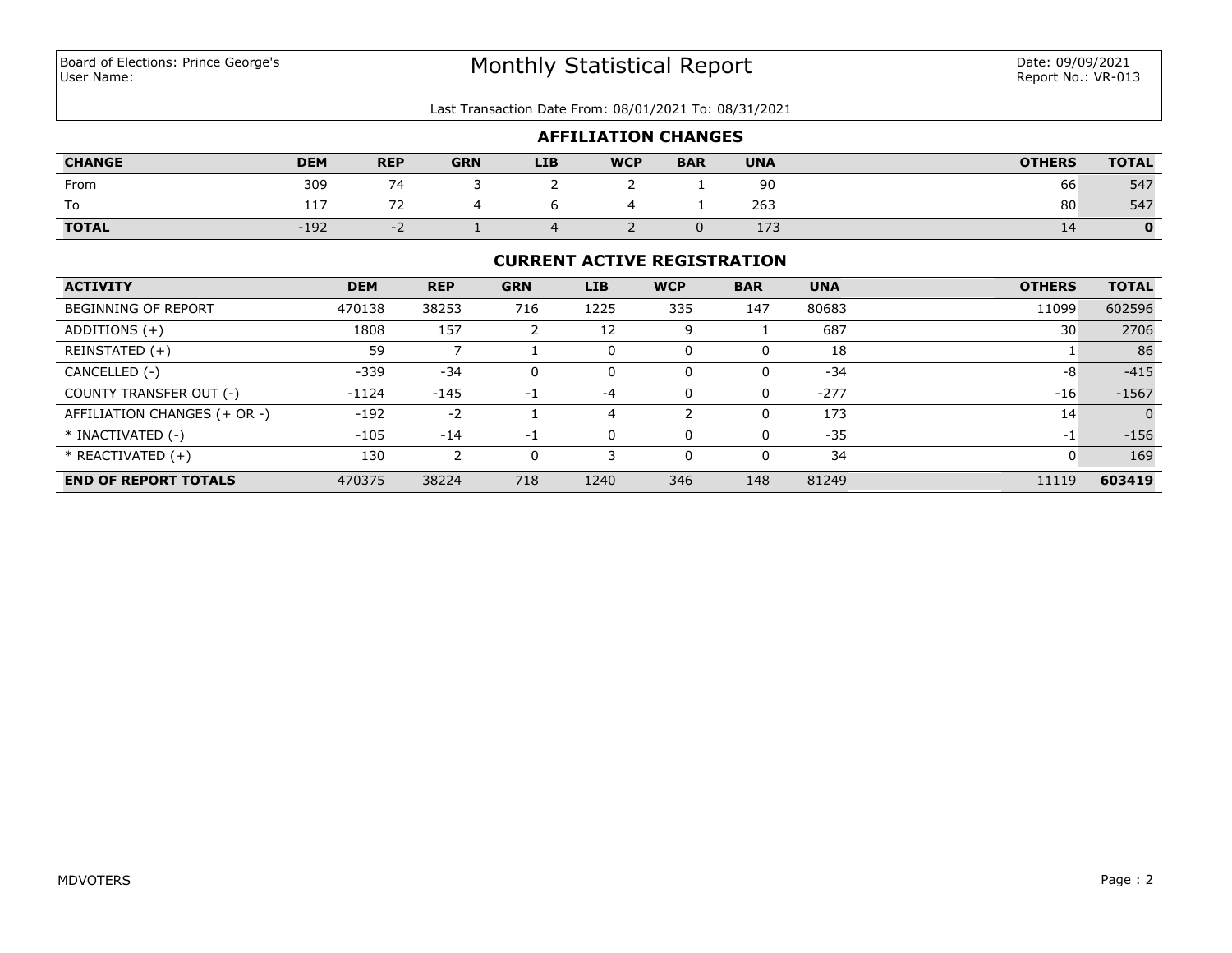#### Last Transaction Date From: 08/01/2021 To: 08/31/2021

| <b>AFFILIATION CHANGES</b> |            |                          |            |            |            |            |            |               |              |
|----------------------------|------------|--------------------------|------------|------------|------------|------------|------------|---------------|--------------|
| <b>CHANGE</b>              | <b>DEM</b> | <b>REP</b>               | <b>GRN</b> | <b>LIB</b> | <b>WCP</b> | <b>BAR</b> | <b>UNA</b> | <b>OTHERS</b> | <b>TOTAL</b> |
| From                       | 309        | 74                       |            |            |            |            | 90         | 66            | 547          |
| To                         | 117        |                          |            |            |            |            | 263        | 80            | 547          |
| <b>TOTAL</b>               | $-192$     | $\overline{\phantom{0}}$ |            |            |            |            | 173        | 14            | 0            |

## **CURRENT ACTIVE REGISTRATION**

| <b>ACTIVITY</b>              | <b>DEM</b> | <b>REP</b> | <b>GRN</b> | LIB  | <b>WCP</b> | <b>BAR</b> | <b>UNA</b> | <b>OTHERS</b> | <b>TOTAL</b> |
|------------------------------|------------|------------|------------|------|------------|------------|------------|---------------|--------------|
| <b>BEGINNING OF REPORT</b>   | 470138     | 38253      | 716        | 1225 | 335        | 147        | 80683      | 11099         | 602596       |
| ADDITIONS $(+)$              | 1808       | 157        |            | 12   | 9          |            | 687        | 30            | 2706         |
| REINSTATED (+)               | 59         |            |            | 0    |            |            | 18         |               | 86           |
| CANCELLED (-)                | $-339$     | $-34$      | 0          |      |            | 0          | $-34$      | -8            | $-415$       |
| COUNTY TRANSFER OUT (-)      | $-1124$    | $-145$     | -1         | $-4$ |            | 0          | $-277$     | $-16$         | $-1567$      |
| AFFILIATION CHANGES (+ OR -) | $-192$     | $-2$       |            |      |            |            | 173        | 14            |              |
| * INACTIVATED (-)            | $-105$     | $-14$      | -1         |      |            |            | $-35$      | $-1$          | $-156$       |
| $*$ REACTIVATED $(+)$        | 130        |            | 0          |      |            | $\Omega$   | 34         | 0             | 169          |
| <b>END OF REPORT TOTALS</b>  | 470375     | 38224      | 718        | 1240 | 346        | 148        | 81249      | 11119         | 603419       |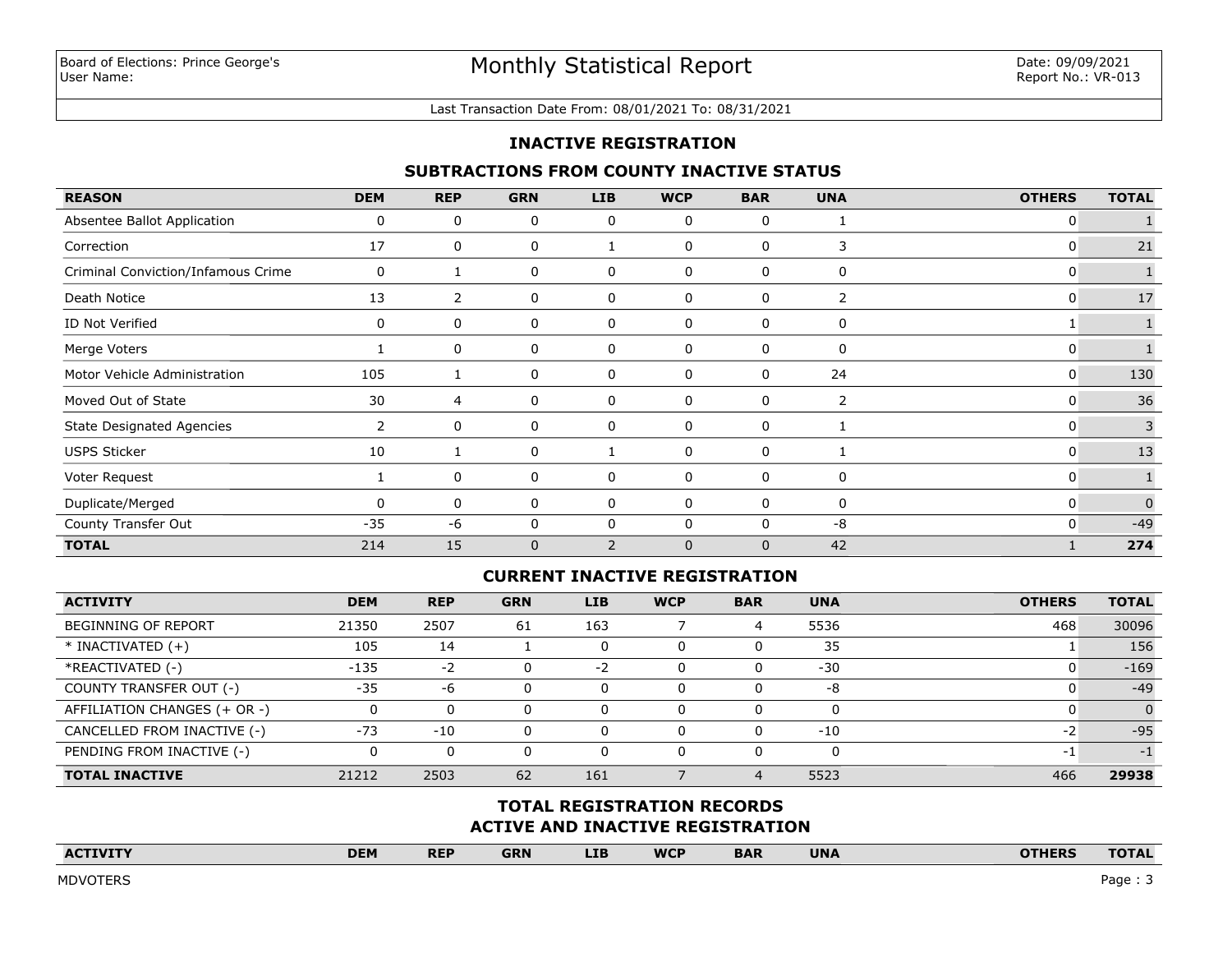#### Last Transaction Date From: 08/01/2021 To: 08/31/2021

### **INACTIVE REGISTRATION**

### **SUBTRACTIONS FROM COUNTY INACTIVE STATUS**

| <b>REASON</b>                      | <b>DEM</b>            | <b>REP</b>     | <b>GRN</b>  | LIB            | <b>WCP</b>  | <b>BAR</b>   | <b>UNA</b>     | <b>OTHERS</b> | <b>TOTAL</b> |
|------------------------------------|-----------------------|----------------|-------------|----------------|-------------|--------------|----------------|---------------|--------------|
| Absentee Ballot Application        | 0                     | 0              | 0           | 0              | 0           | 0            |                | 0             |              |
| Correction                         | 17                    | 0              | 0           |                | 0           | 0            | 3              | 0             | 21           |
| Criminal Conviction/Infamous Crime | 0                     |                | 0           | 0              | 0           | 0            | 0              | 0             |              |
| Death Notice                       | 13                    | $\overline{2}$ | 0           | 0              | 0           | 0            | 2              | 0             | 17           |
| ID Not Verified                    | 0                     | 0              | 0           | 0              | 0           | 0            | 0              |               |              |
| Merge Voters                       |                       | 0              | 0           | 0              | 0           | 0            | 0              | 0             |              |
| Motor Vehicle Administration       | 105                   |                | 0           | 0              | 0           | $\Omega$     | 24             | 0             | 130          |
| Moved Out of State                 | 30                    | $\overline{4}$ | 0           | 0              | 0           | 0            | $\overline{2}$ | 0             | 36           |
| State Designated Agencies          | $\mathbf{2}^{\prime}$ | 0              | 0           | 0              | 0           | 0            |                | 0             | 3            |
| <b>USPS Sticker</b>                | 10                    |                | 0           |                | 0           | 0            |                | 0             | 13           |
| Voter Request                      |                       | 0              | 0           | 0              | 0           | 0            | 0              | 0             |              |
| Duplicate/Merged                   | 0                     | 0              | 0           | 0              | 0           | 0            | 0              | 0             | $\mathbf{0}$ |
| County Transfer Out                | $-35$                 | -6             | $\mathbf 0$ | 0              | 0           | $\mathbf{0}$ | $-8$           | 0             | $-49$        |
| <b>TOTAL</b>                       | 214                   | 15             | $\mathbf 0$ | $\overline{2}$ | $\mathbf 0$ | $\mathbf{0}$ | 42             |               | 274          |

### **CURRENT INACTIVE REGISTRATION**

| <b>ACTIVITY</b>              | <b>DEM</b> | <b>REP</b> | <b>GRN</b> | <b>LIB</b> | <b>WCP</b> | <b>BAR</b> | <b>UNA</b> | <b>OTHERS</b> | <b>TOTAL</b> |
|------------------------------|------------|------------|------------|------------|------------|------------|------------|---------------|--------------|
| <b>BEGINNING OF REPORT</b>   | 21350      | 2507       | 61         | 163        |            | 4          | 5536       | 468           | 30096        |
| $*$ INACTIVATED $(+)$        | 105        | 14         |            |            | 0          |            | 35         |               | 156          |
| *REACTIVATED (-)             | $-135$     | $-2$       |            | -2         | U          |            | $-30$      |               | $-169$       |
| COUNTY TRANSFER OUT (-)      | $-35$      | -6         |            |            | 0          |            | -8         |               | $-49$        |
| AFFILIATION CHANGES (+ OR -) |            | 0          |            |            | 0          |            | 0          |               |              |
| CANCELLED FROM INACTIVE (-)  | $-73$      | $-10$      |            |            | 0          |            | $-10$      | -2            | $-95$        |
| PENDING FROM INACTIVE (-)    |            | 0          |            |            | 0          |            | 0          | - 1           | - 1          |
| <b>TOTAL INACTIVE</b>        | 21212      | 2503       | 62         | 161        |            |            | 5523       | 466           | 29938        |

## **ACTIVE AND INACTIVE REGISTRATION TOTAL REGISTRATION RECORDS**

| <b>ACTIVITY</b><br>the company's company's company's company's company's company's | <b>DEM</b> | <b>REP</b> | <b>GRN</b> | <b>LIB</b> | <b>WCP</b><br>______ | <b>BAR</b> | <b>UNA</b> | <b>OTHERS</b><br>______ | <b>TOTAL</b> |
|------------------------------------------------------------------------------------|------------|------------|------------|------------|----------------------|------------|------------|-------------------------|--------------|
|                                                                                    |            |            |            |            |                      |            |            |                         |              |